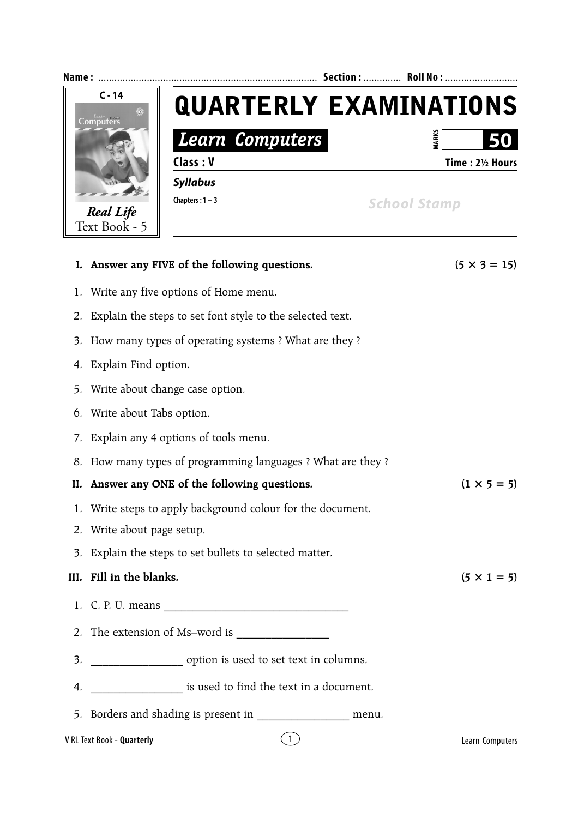

- 7. Explain any 4 options of tools menu.
- 8. How many types of programming languages ? What are they ?

**II.** Answer any ONE of the following questions.  $(1 \times 5 = 5)$ 

- 1. Write steps to apply background colour for the document.
- 2. Write about page setup.
- 3. Explain the steps to set bullets to selected matter.

## **III.** Fill in the blanks.  $(5 \times 1 = 5)$

- 1. C. P. U. means \_\_\_\_\_\_\_\_\_\_\_\_\_\_\_\_\_\_\_\_\_\_\_\_\_\_\_\_\_\_\_\_
- 2. The extension of Ms–word is
- 3. \_\_\_\_\_\_\_\_\_\_\_\_\_\_\_\_ option is used to set text in columns.
- 4. \_\_\_\_\_\_\_\_\_\_\_\_\_\_\_\_ is used to find the text in a document.
- 5. Borders and shading is present in Theorem menu.

## V RL Text Book - **Quarterly** 1 Learn Computers